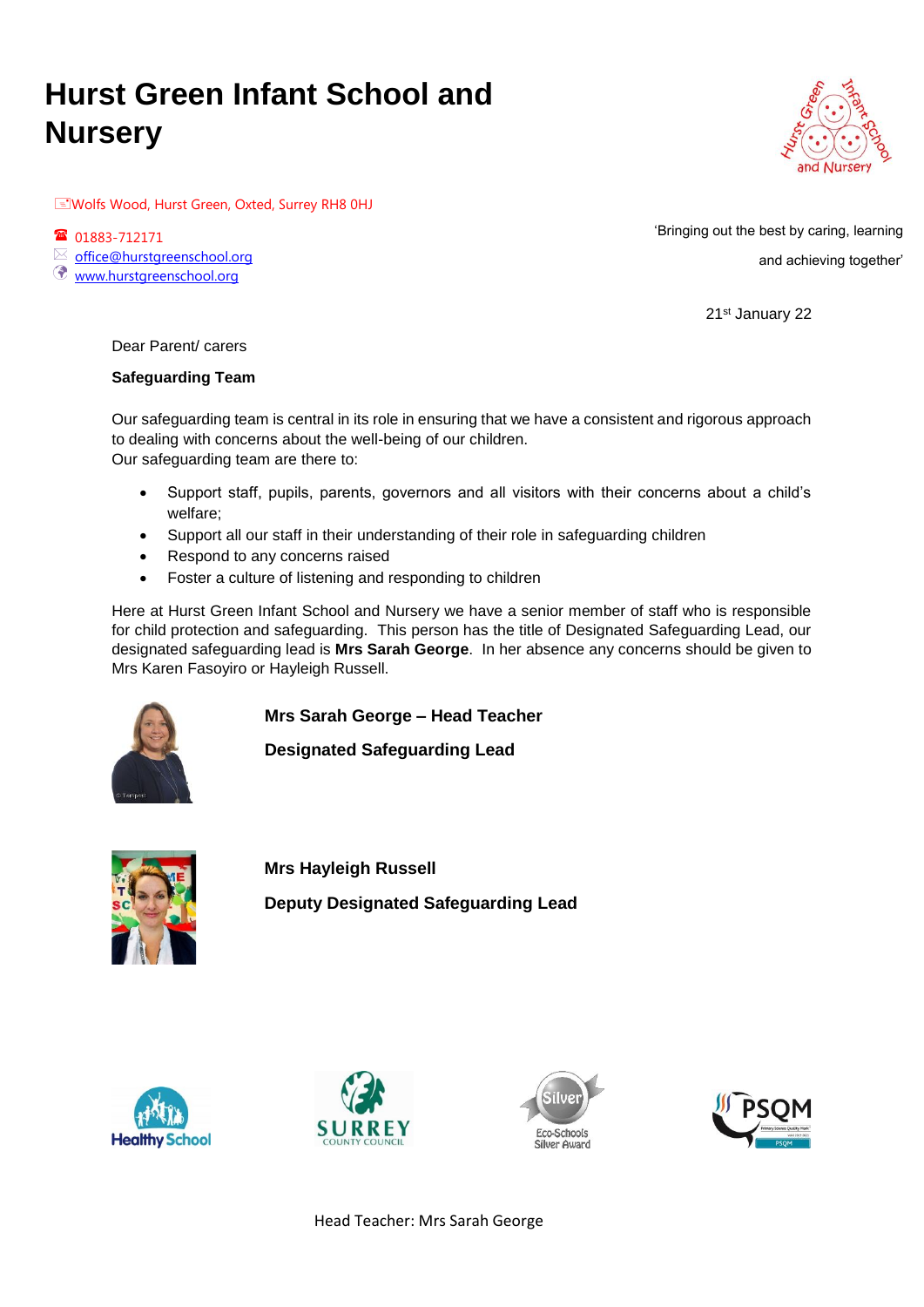# **Hurst Green Infant School and Nursery**



Wolfs Wood, Hurst Green, Oxted, Surrey RH8 0HJ

1883-712171  $\boxtimes$  office@hurstgreenschool.org

www.hurstgreenschool.org

'Bringing out the best by caring, learning and achieving together'

21st January 22

Dear Parent/ carers

# **Safeguarding Team**

Our safeguarding team is central in its role in ensuring that we have a consistent and rigorous approach to dealing with concerns about the well-being of our children. Our safeguarding team are there to:

- Support staff, pupils, parents, governors and all visitors with their concerns about a child's welfare;
- Support all our staff in their understanding of their role in safeguarding children
- Respond to any concerns raised
- Foster a culture of listening and responding to children

Here at Hurst Green Infant School and Nursery we have a senior member of staff who is responsible for child protection and safeguarding. This person has the title of Designated Safeguarding Lead, our designated safeguarding lead is **Mrs Sarah George**. In her absence any concerns should be given to Mrs Karen Fasoyiro or Hayleigh Russell.

**Mrs Sarah George – Head Teacher**

**Designated Safeguarding Lead**



**Mrs Hayleigh Russell Deputy Designated Safeguarding Lead**









Head Teacher: Mrs Sarah George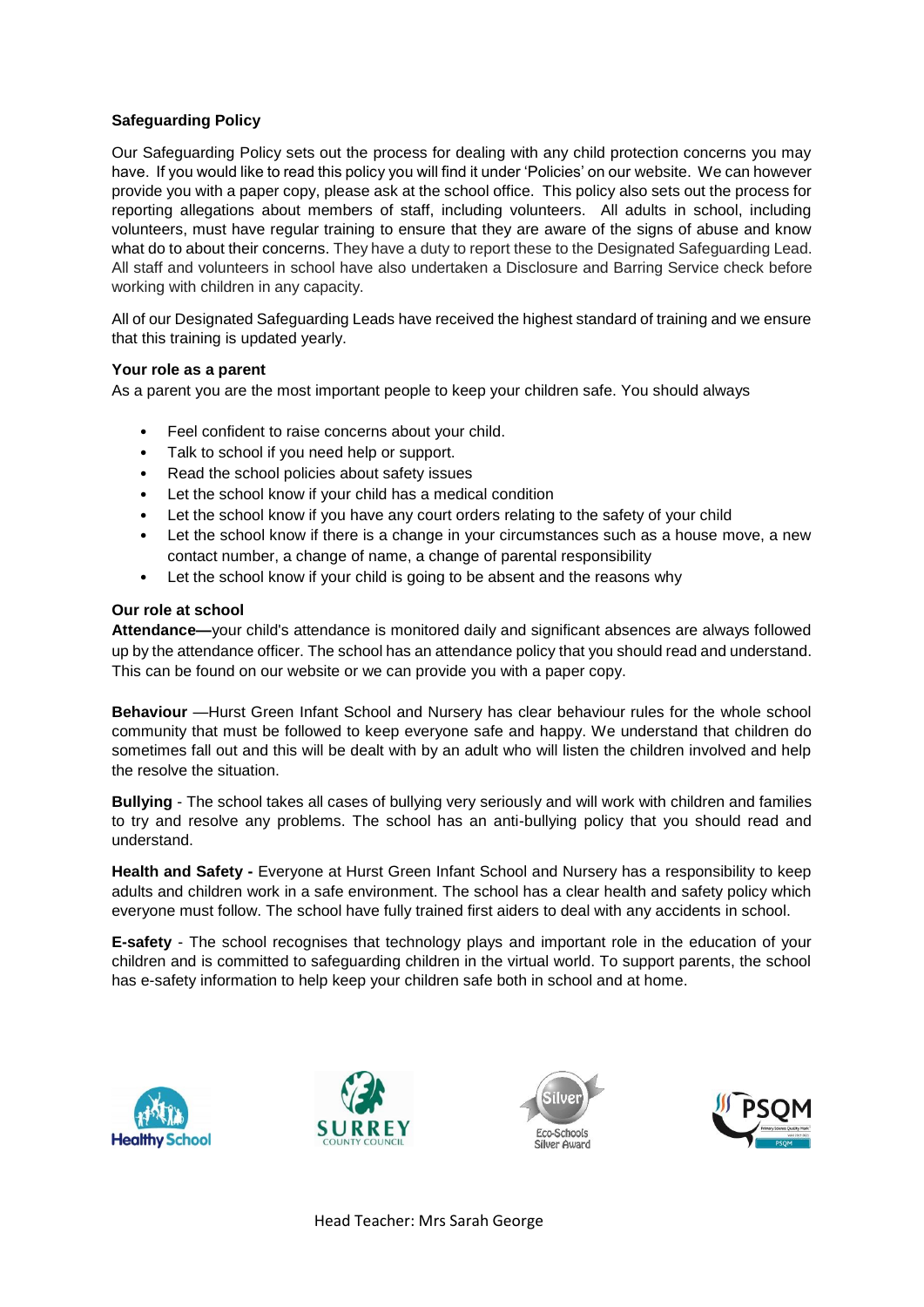# **Safeguarding Policy**

Our Safeguarding Policy sets out the process for dealing with any child protection concerns you may have. If you would like to read this policy you will find it under 'Policies' on our website. We can however provide you with a paper copy, please ask at the school office. This policy also sets out the process for reporting allegations about members of staff, including volunteers. All adults in school, including volunteers, must have regular training to ensure that they are aware of the signs of abuse and know what do to about their concerns. They have a duty to report these to the Designated Safeguarding Lead. All staff and volunteers in school have also undertaken a Disclosure and Barring Service check before working with children in any capacity.

All of our Designated Safeguarding Leads have received the highest standard of training and we ensure that this training is updated yearly.

### **Your role as a parent**

As a parent you are the most important people to keep your children safe. You should always

- Feel confident to raise concerns about your child.
- Talk to school if you need help or support.
- Read the school policies about safety issues
- Let the school know if your child has a medical condition
- Let the school know if you have any court orders relating to the safety of your child
- Let the school know if there is a change in your circumstances such as a house move, a new contact number, a change of name, a change of parental responsibility
- Let the school know if your child is going to be absent and the reasons why

### **Our role at school**

**Attendance—**your child's attendance is monitored daily and significant absences are always followed up by the attendance officer. The school has an attendance policy that you should read and understand. This can be found on our website or we can provide you with a paper copy.

**Behaviour** —Hurst Green Infant School and Nursery has clear behaviour rules for the whole school community that must be followed to keep everyone safe and happy. We understand that children do sometimes fall out and this will be dealt with by an adult who will listen the children involved and help the resolve the situation.

**Bullying** - The school takes all cases of bullying very seriously and will work with children and families to try and resolve any problems. The school has an anti-bullying policy that you should read and understand.

**Health and Safety -** Everyone at Hurst Green Infant School and Nursery has a responsibility to keep adults and children work in a safe environment. The school has a clear health and safety policy which everyone must follow. The school have fully trained first aiders to deal with any accidents in school.

**E-safety** - The school recognises that technology plays and important role in the education of your children and is committed to safeguarding children in the virtual world. To support parents, the school has e-safety information to help keep your children safe both in school and at home.









Head Teacher: Mrs Sarah George